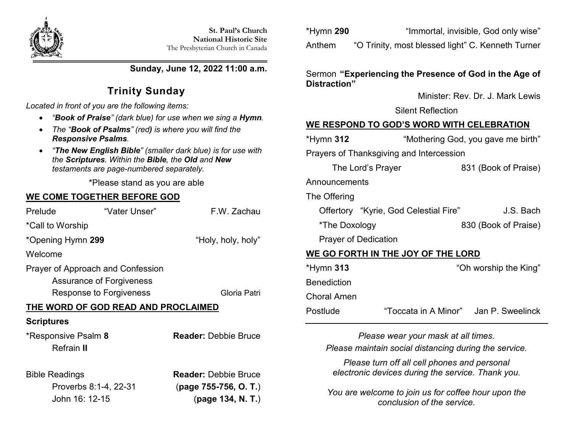

**Sunday, June 12, 2022 11:00 a.m.**

# **Trinity Sunday**

*Located in front of you are the following items:*

- *"Book of Praise" (dark blue) for use when we sing a Hymn.*
- *The "Book of Psalms" (red) is where you will find the Responsive Psalms.*
- *"The New English Bible" (smaller dark blue) is for use with the Scriptures. Within the Bible, the Old and New testaments are page-numbered separately.*

\*Please stand as you are able

## **WE COME TOGETHER BEFORE GOD**

| Prelude                                                                                                  | "Vater Unser" | F.W. Zachau                                          |  |  |  |
|----------------------------------------------------------------------------------------------------------|---------------|------------------------------------------------------|--|--|--|
| *Call to Worship                                                                                         |               |                                                      |  |  |  |
| *Opening Hymn 299                                                                                        |               | "Holy, holy, holy"                                   |  |  |  |
| Welcome                                                                                                  |               |                                                      |  |  |  |
| Prayer of Approach and Confession<br>Assurance of Forgiveness<br>Response to Forgiveness<br>Gloria Patri |               |                                                      |  |  |  |
| THE WORD OF GOD READ AND PROCLAIMED                                                                      |               |                                                      |  |  |  |
| <b>Scriptures</b>                                                                                        |               |                                                      |  |  |  |
| *Responsive Psalm 8<br>Refrain II                                                                        |               | <b>Reader:</b> Debbie Bruce                          |  |  |  |
| <b>Bible Readings</b><br>Proverbs 8:1-4, 22-31                                                           |               | <b>Reader: Debbie Bruce</b><br>(page 755-756, O. T.) |  |  |  |

John 16: 12-15 (**page 134, N. T.**)

| *Hymn 290 | "Immortal, invisible, God only wise"              |
|-----------|---------------------------------------------------|
| Anthem    | "O Trinity, most blessed light" C. Kenneth Turner |

#### Sermon **"Experiencing the Presence of God in the Age of Distraction"**

Minister: Rev. Dr. J. Mark Lewis

Silent Reflection

## **WE RESPOND TO GOD'S WORD WITH CELEBRATION**

| *Hymn <b>312</b>                         | "Mothering God, you gave me birth"    |                                        |  |  |
|------------------------------------------|---------------------------------------|----------------------------------------|--|--|
| Prayers of Thanksgiving and Intercession |                                       |                                        |  |  |
| The Lord's Prayer                        |                                       | 831 (Book of Praise)                   |  |  |
| Announcements                            |                                       |                                        |  |  |
| The Offering                             |                                       |                                        |  |  |
|                                          | Offertory "Kyrie, God Celestial Fire" | J.S. Bach                              |  |  |
| *The Doxology                            |                                       | 830 (Book of Praise)                   |  |  |
| <b>Prayer of Dedication</b>              |                                       |                                        |  |  |
| WE GO FORTH IN THE JOY OF THE LORD       |                                       |                                        |  |  |
| *Hymn <b>313</b>                         |                                       | "Oh worship the King"                  |  |  |
| <b>Benediction</b>                       |                                       |                                        |  |  |
| Choral Amen                              |                                       |                                        |  |  |
| Postlude                                 |                                       | "Toccata in A Minor" ,Jan P. Sweelinck |  |  |

*Please wear your mask at all times. Please maintain social distancing during the service.*

*Please turn off all cell phones and personal electronic devices during the service. Thank you.*

*You are welcome to join us for coffee hour upon the conclusion of the service.*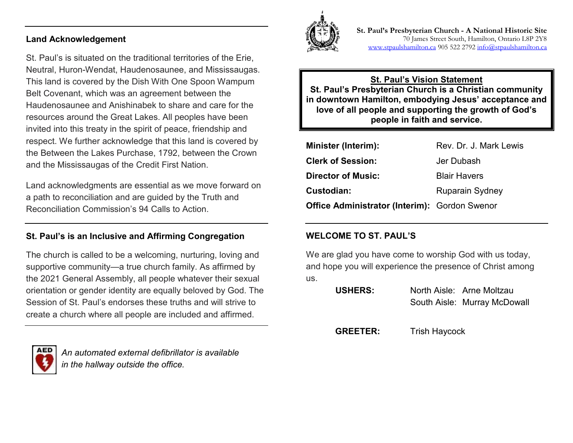#### **Land Acknowledgement**

St. Paul's is situated on the traditional territories of the Erie, Neutral, Huron-Wendat, Haudenosaunee, and Mississaugas. This land is covered by the Dish With One Spoon Wampum Belt Covenant, which was an agreement between the Haudenosaunee and Anishinabek to share and care for the resources around the Great Lakes. All peoples have been invited into this treaty in the spirit of peace, friendship and respect. We further acknowledge that this land is covered by the Between the Lakes Purchase, 1792, between the Crown and the Mississaugas of the Credit First Nation.

Land acknowledgments are essential as we move forward on a path to reconciliation and are guided by the Truth and Reconciliation Commission's 94 Calls to Action.

## **St. Paul's is an Inclusive and Affirming Congregation**

The church is called to be a welcoming, nurturing, loving and supportive community—a true church family. As affirmed by the 2021 General Assembly, all people whatever their sexual orientation or gender identity are equally beloved by God. The Session of St. Paul's endorses these truths and will strive to create a church where all people are included and affirmed.



*An automated external defibrillator is available in the hallway outside the office.*



**St. Paul's Presbyterian Church - A National Historic Site**  70 James Street South, Hamilton, Ontario L8P 2Y8 [www.stpaulshamilton.ca](http://www.stpaulshamilton.ca/) 905 522 279[2 info@stpaulshamilton.ca](mailto:info@stpaulshamilton.ca)

#### **St. Paul's Vision Statement St. Paul's Presbyterian Church is a Christian community in downtown Hamilton, embodying Jesus' acceptance and love of all people and supporting the growth of God's people in faith and service.**

| <b>Minister (Interim):</b>                           | Rev. Dr. J. Mark Lewis |
|------------------------------------------------------|------------------------|
| <b>Clerk of Session:</b>                             | Jer Dubash             |
| <b>Director of Music:</b>                            | <b>Blair Havers</b>    |
| Custodian:                                           | <b>Ruparain Sydney</b> |
| <b>Office Administrator (Interim): Gordon Swenor</b> |                        |

## **WELCOME TO ST. PAUL'S**

We are glad you have come to worship God with us today, and hope you will experience the presence of Christ among us.

| <b>USHERS:</b> | North Aisle: Arne Moltzau    |
|----------------|------------------------------|
|                | South Aisle: Murray McDowall |

**GREETER:** Trish Haycock